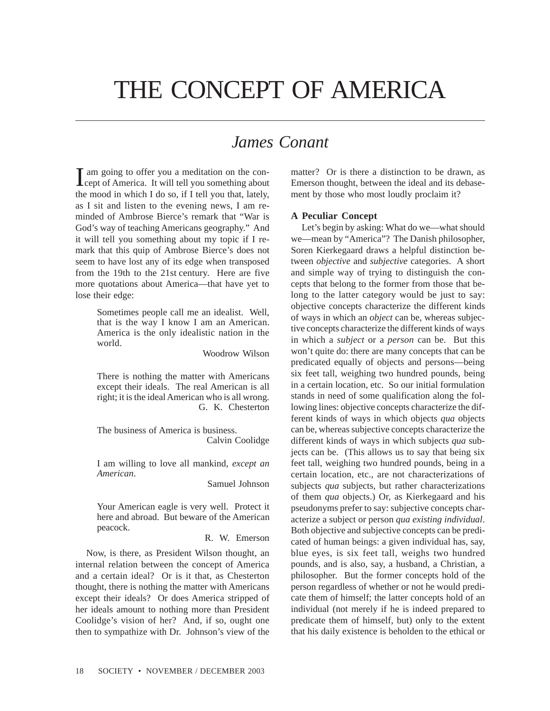# THE CONCEPT OF AMERICA

## *James Conant*

I am going to offer you a meditation on the concept of America. It will tell you something about am going to offer you a meditation on the conthe mood in which I do so, if I tell you that, lately, as I sit and listen to the evening news, I am reminded of Ambrose Bierce's remark that "War is God's way of teaching Americans geography." And it will tell you something about my topic if I remark that this quip of Ambrose Bierce's does not seem to have lost any of its edge when transposed from the 19th to the 21st century. Here are five more quotations about America—that have yet to lose their edge:

> Sometimes people call me an idealist. Well, that is the way I know I am an American. America is the only idealistic nation in the world.

> > Woodrow Wilson

There is nothing the matter with Americans except their ideals. The real American is all right; it is the ideal American who is all wrong. G. K. Chesterton

The business of America is business. Calvin Coolidge

I am willing to love all mankind, *except an American*.

Samuel Johnson

Your American eagle is very well. Protect it here and abroad. But beware of the American peacock.

R. W. Emerson

Now, is there, as President Wilson thought, an internal relation between the concept of America and a certain ideal? Or is it that, as Chesterton thought, there is nothing the matter with Americans except their ideals? Or does America stripped of her ideals amount to nothing more than President Coolidge's vision of her? And, if so, ought one then to sympathize with Dr. Johnson's view of the matter? Or is there a distinction to be drawn, as Emerson thought, between the ideal and its debasement by those who most loudly proclaim it?

#### **A Peculiar Concept**

Let's begin by asking: What do we—what should we—mean by "America"? The Danish philosopher, Soren Kierkegaard draws a helpful distinction between *objective* and *subjective* categories. A short and simple way of trying to distinguish the concepts that belong to the former from those that belong to the latter category would be just to say: objective concepts characterize the different kinds of ways in which an *object* can be, whereas subjective concepts characterize the different kinds of ways in which a *subject* or a *person* can be. But this won't quite do: there are many concepts that can be predicated equally of objects and persons—being six feet tall, weighing two hundred pounds, being in a certain location, etc. So our initial formulation stands in need of some qualification along the following lines: objective concepts characterize the different kinds of ways in which objects *qua* objects can be, whereas subjective concepts characterize the different kinds of ways in which subjects *qua* subjects can be. (This allows us to say that being six feet tall, weighing two hundred pounds, being in a certain location, etc., are not characterizations of subjects *qua* subjects, but rather characterizations of them *qua* objects.) Or, as Kierkegaard and his pseudonyms prefer to say: subjective concepts characterize a subject or person *qua existing individual*. Both objective and subjective concepts can be predicated of human beings: a given individual has, say, blue eyes, is six feet tall, weighs two hundred pounds, and is also, say, a husband, a Christian, a philosopher. But the former concepts hold of the person regardless of whether or not he would predicate them of himself; the latter concepts hold of an individual (not merely if he is indeed prepared to predicate them of himself, but) only to the extent that his daily existence is beholden to the ethical or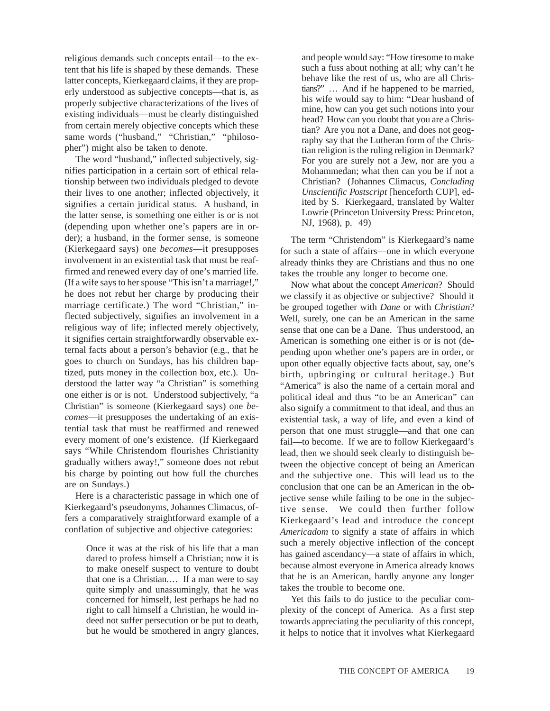religious demands such concepts entail—to the extent that his life is shaped by these demands. These latter concepts, Kierkegaard claims, if they are properly understood as subjective concepts—that is, as properly subjective characterizations of the lives of existing individuals—must be clearly distinguished from certain merely objective concepts which these same words ("husband," "Christian," "philosopher") might also be taken to denote.

The word "husband," inflected subjectively, signifies participation in a certain sort of ethical relationship between two individuals pledged to devote their lives to one another; inflected objectively, it signifies a certain juridical status. A husband, in the latter sense, is something one either is or is not (depending upon whether one's papers are in order); a husband, in the former sense, is someone (Kierkegaard says) one *becomes*—it presupposes involvement in an existential task that must be reaffirmed and renewed every day of one's married life. (If a wife says to her spouse "This isn't a marriage!," he does not rebut her charge by producing their marriage certificate.) The word "Christian," inflected subjectively, signifies an involvement in a religious way of life; inflected merely objectively, it signifies certain straightforwardly observable external facts about a person's behavior (e.g., that he goes to church on Sundays, has his children baptized, puts money in the collection box, etc.). Understood the latter way "a Christian" is something one either is or is not. Understood subjectively, "a Christian" is someone (Kierkegaard says) one *becomes*—it presupposes the undertaking of an existential task that must be reaffirmed and renewed every moment of one's existence. (If Kierkegaard says "While Christendom flourishes Christianity gradually withers away!," someone does not rebut his charge by pointing out how full the churches are on Sundays.)

Here is a characteristic passage in which one of Kierkegaard's pseudonyms, Johannes Climacus, offers a comparatively straightforward example of a conflation of subjective and objective categories:

> Once it was at the risk of his life that a man dared to profess himself a Christian; now it is to make oneself suspect to venture to doubt that one is a Christian.… If a man were to say quite simply and unassumingly, that he was concerned for himself, lest perhaps he had no right to call himself a Christian, he would indeed not suffer persecution or be put to death, but he would be smothered in angry glances,

and people would say: "How tiresome to make such a fuss about nothing at all; why can't he behave like the rest of us, who are all Christians?" … And if he happened to be married, his wife would say to him: "Dear husband of mine, how can you get such notions into your head? How can you doubt that you are a Christian? Are you not a Dane, and does not geography say that the Lutheran form of the Christian religion is the ruling religion in Denmark? For you are surely not a Jew, nor are you a Mohammedan; what then can you be if not a Christian? (Johannes Climacus, *Concluding Unscientific Postscript* [henceforth CUP], edited by S. Kierkegaard, translated by Walter Lowrie (Princeton University Press: Princeton, NJ, 1968), p. 49)

The term "Christendom" is Kierkegaard's name for such a state of affairs—one in which everyone already thinks they are Christians and thus no one takes the trouble any longer to become one.

Now what about the concept *American*? Should we classify it as objective or subjective? Should it be grouped together with *Dane* or with *Christian*? Well, surely, one can be an American in the same sense that one can be a Dane. Thus understood, an American is something one either is or is not (depending upon whether one's papers are in order, or upon other equally objective facts about, say, one's birth, upbringing or cultural heritage.) But "America" is also the name of a certain moral and political ideal and thus "to be an American" can also signify a commitment to that ideal, and thus an existential task, a way of life, and even a kind of person that one must struggle—and that one can fail—to become. If we are to follow Kierkegaard's lead, then we should seek clearly to distinguish between the objective concept of being an American and the subjective one. This will lead us to the conclusion that one can be an American in the objective sense while failing to be one in the subjective sense. We could then further follow Kierkegaard's lead and introduce the concept *Americadom* to signify a state of affairs in which such a merely objective inflection of the concept has gained ascendancy—a state of affairs in which, because almost everyone in America already knows that he is an American, hardly anyone any longer takes the trouble to become one.

Yet this fails to do justice to the peculiar complexity of the concept of America. As a first step towards appreciating the peculiarity of this concept, it helps to notice that it involves what Kierkegaard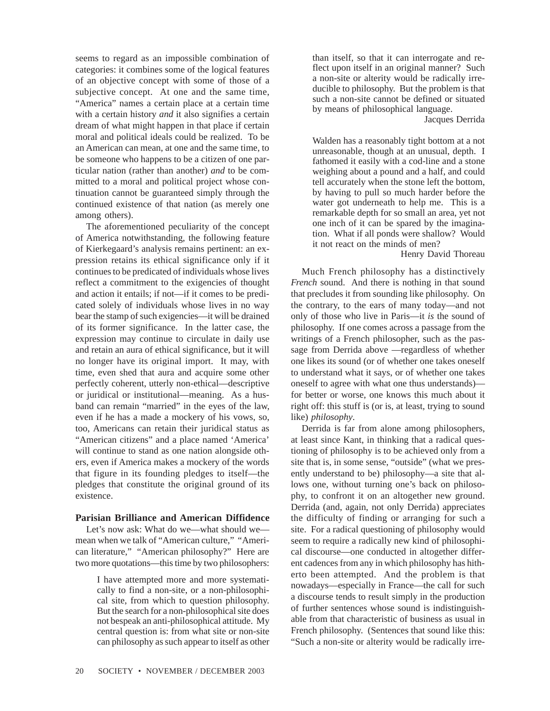seems to regard as an impossible combination of categories: it combines some of the logical features of an objective concept with some of those of a subjective concept. At one and the same time, "America" names a certain place at a certain time with a certain history *and* it also signifies a certain dream of what might happen in that place if certain moral and political ideals could be realized. To be an American can mean, at one and the same time, to be someone who happens to be a citizen of one particular nation (rather than another) *and* to be committed to a moral and political project whose continuation cannot be guaranteed simply through the continued existence of that nation (as merely one among others).

The aforementioned peculiarity of the concept of America notwithstanding, the following feature of Kierkegaard's analysis remains pertinent: an expression retains its ethical significance only if it continues to be predicated of individuals whose lives reflect a commitment to the exigencies of thought and action it entails; if not—if it comes to be predicated solely of individuals whose lives in no way bear the stamp of such exigencies—it will be drained of its former significance. In the latter case, the expression may continue to circulate in daily use and retain an aura of ethical significance, but it will no longer have its original import. It may, with time, even shed that aura and acquire some other perfectly coherent, utterly non-ethical—descriptive or juridical or institutional—meaning. As a husband can remain "married" in the eyes of the law, even if he has a made a mockery of his vows, so, too, Americans can retain their juridical status as "American citizens" and a place named 'America' will continue to stand as one nation alongside others, even if America makes a mockery of the words that figure in its founding pledges to itself—the pledges that constitute the original ground of its existence.

### **Parisian Brilliance and American Diffidence**

Let's now ask: What do we—what should we mean when we talk of "American culture," "American literature," "American philosophy?" Here are two more quotations—this time by two philosophers:

> I have attempted more and more systematically to find a non-site, or a non-philosophical site, from which to question philosophy. But the search for a non-philosophical site does not bespeak an anti-philosophical attitude. My central question is: from what site or non-site can philosophy as such appear to itself as other

than itself, so that it can interrogate and reflect upon itself in an original manner? Such a non-site or alterity would be radically irreducible to philosophy. But the problem is that such a non-site cannot be defined or situated by means of philosophical language.

#### Jacques Derrida

Walden has a reasonably tight bottom at a not unreasonable, though at an unusual, depth. I fathomed it easily with a cod-line and a stone weighing about a pound and a half, and could tell accurately when the stone left the bottom, by having to pull so much harder before the water got underneath to help me. This is a remarkable depth for so small an area, yet not one inch of it can be spared by the imagination. What if all ponds were shallow? Would it not react on the minds of men?

Henry David Thoreau

Much French philosophy has a distinctively *French* sound. And there is nothing in that sound that precludes it from sounding like philosophy. On the contrary, to the ears of many today—and not only of those who live in Paris—it *is* the sound of philosophy. If one comes across a passage from the writings of a French philosopher, such as the passage from Derrida above —regardless of whether one likes its sound (or of whether one takes oneself to understand what it says, or of whether one takes oneself to agree with what one thus understands) for better or worse, one knows this much about it right off: this stuff is (or is, at least, trying to sound like) *philosophy*.

Derrida is far from alone among philosophers, at least since Kant, in thinking that a radical questioning of philosophy is to be achieved only from a site that is, in some sense, "outside" (what we presently understand to be) philosophy—a site that allows one, without turning one's back on philosophy, to confront it on an altogether new ground. Derrida (and, again, not only Derrida) appreciates the difficulty of finding or arranging for such a site. For a radical questioning of philosophy would seem to require a radically new kind of philosophical discourse—one conducted in altogether different cadences from any in which philosophy has hitherto been attempted. And the problem is that nowadays—especially in France—the call for such a discourse tends to result simply in the production of further sentences whose sound is indistinguishable from that characteristic of business as usual in French philosophy. (Sentences that sound like this: "Such a non-site or alterity would be radically irre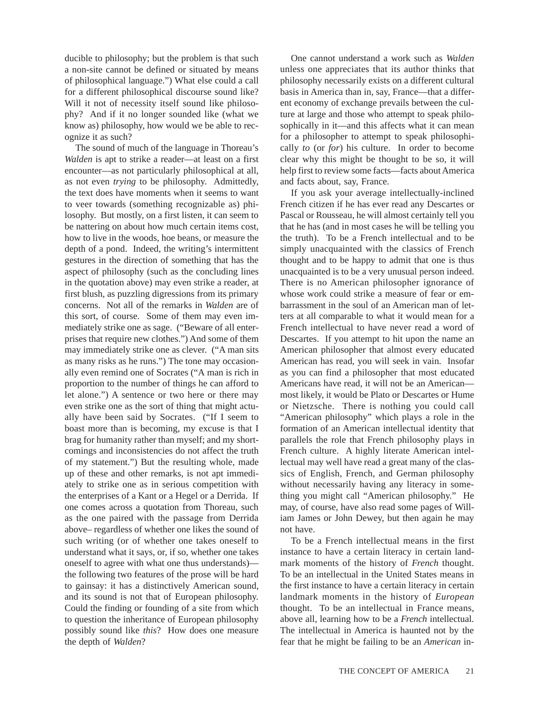ducible to philosophy; but the problem is that such a non-site cannot be defined or situated by means of philosophical language.") What else could a call for a different philosophical discourse sound like? Will it not of necessity itself sound like philosophy? And if it no longer sounded like (what we know as) philosophy, how would we be able to recognize it as such?

The sound of much of the language in Thoreau's *Walden* is apt to strike a reader—at least on a first encounter—as not particularly philosophical at all, as not even *trying* to be philosophy. Admittedly, the text does have moments when it seems to want to veer towards (something recognizable as) philosophy. But mostly, on a first listen, it can seem to be nattering on about how much certain items cost, how to live in the woods, hoe beans, or measure the depth of a pond. Indeed, the writing's intermittent gestures in the direction of something that has the aspect of philosophy (such as the concluding lines in the quotation above) may even strike a reader, at first blush, as puzzling digressions from its primary concerns. Not all of the remarks in *Walden* are of this sort, of course. Some of them may even immediately strike one as sage. ("Beware of all enterprises that require new clothes.") And some of them may immediately strike one as clever. ("A man sits as many risks as he runs.") The tone may occasionally even remind one of Socrates ("A man is rich in proportion to the number of things he can afford to let alone.") A sentence or two here or there may even strike one as the sort of thing that might actually have been said by Socrates. ("If I seem to boast more than is becoming, my excuse is that I brag for humanity rather than myself; and my shortcomings and inconsistencies do not affect the truth of my statement.") But the resulting whole, made up of these and other remarks, is not apt immediately to strike one as in serious competition with the enterprises of a Kant or a Hegel or a Derrida. If one comes across a quotation from Thoreau, such as the one paired with the passage from Derrida above– regardless of whether one likes the sound of such writing (or of whether one takes oneself to understand what it says, or, if so, whether one takes oneself to agree with what one thus understands) the following two features of the prose will be hard to gainsay: it has a distinctively American sound, and its sound is not that of European philosophy. Could the finding or founding of a site from which to question the inheritance of European philosophy possibly sound like *this*? How does one measure the depth of *Walden*?

One cannot understand a work such as *Walden* unless one appreciates that its author thinks that philosophy necessarily exists on a different cultural basis in America than in, say, France—that a different economy of exchange prevails between the culture at large and those who attempt to speak philosophically in it—and this affects what it can mean for a philosopher to attempt to speak philosophically *to* (or *for*) his culture. In order to become clear why this might be thought to be so, it will help first to review some facts—facts about America and facts about, say, France.

If you ask your average intellectually-inclined French citizen if he has ever read any Descartes or Pascal or Rousseau, he will almost certainly tell you that he has (and in most cases he will be telling you the truth). To be a French intellectual and to be simply unacquainted with the classics of French thought and to be happy to admit that one is thus unacquainted is to be a very unusual person indeed. There is no American philosopher ignorance of whose work could strike a measure of fear or embarrassment in the soul of an American man of letters at all comparable to what it would mean for a French intellectual to have never read a word of Descartes. If you attempt to hit upon the name an American philosopher that almost every educated American has read, you will seek in vain. Insofar as you can find a philosopher that most educated Americans have read, it will not be an American most likely, it would be Plato or Descartes or Hume or Nietzsche. There is nothing you could call "American philosophy" which plays a role in the formation of an American intellectual identity that parallels the role that French philosophy plays in French culture. A highly literate American intellectual may well have read a great many of the classics of English, French, and German philosophy without necessarily having any literacy in something you might call "American philosophy." He may, of course, have also read some pages of William James or John Dewey, but then again he may not have.

To be a French intellectual means in the first instance to have a certain literacy in certain landmark moments of the history of *French* thought. To be an intellectual in the United States means in the first instance to have a certain literacy in certain landmark moments in the history of *European* thought. To be an intellectual in France means, above all, learning how to be a *French* intellectual. The intellectual in America is haunted not by the fear that he might be failing to be an *American* in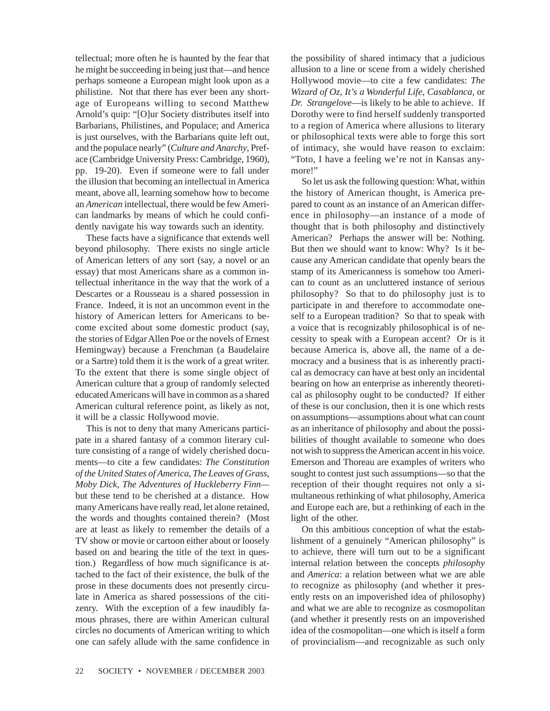tellectual; more often he is haunted by the fear that he might be succeeding in being just that—and hence perhaps someone a European might look upon as a philistine. Not that there has ever been any shortage of Europeans willing to second Matthew Arnold's quip: "[O]ur Society distributes itself into Barbarians, Philistines, and Populace; and America is just ourselves, with the Barbarians quite left out, and the populace nearly" (*Culture and Anarchy*, Preface (Cambridge University Press: Cambridge, 1960), pp. 19-20). Even if someone were to fall under the illusion that becoming an intellectual in America meant, above all, learning somehow how to become an *American* intellectual, there would be few American landmarks by means of which he could confidently navigate his way towards such an identity.

These facts have a significance that extends well beyond philosophy. There exists no single article of American letters of any sort (say, a novel or an essay) that most Americans share as a common intellectual inheritance in the way that the work of a Descartes or a Rousseau is a shared possession in France. Indeed, it is not an uncommon event in the history of American letters for Americans to become excited about some domestic product (say, the stories of Edgar Allen Poe or the novels of Ernest Hemingway) because a Frenchman (a Baudelaire or a Sartre) told them it is the work of a great writer. To the extent that there is some single object of American culture that a group of randomly selected educated Americans will have in common as a shared American cultural reference point, as likely as not, it will be a classic Hollywood movie.

This is not to deny that many Americans participate in a shared fantasy of a common literary culture consisting of a range of widely cherished documents—to cite a few candidates: *The Constitution of the United States of America*, *The Leaves of Grass*, *Moby Dick*, *The Adventures of Huckleberry Finn* but these tend to be cherished at a distance. How many Americans have really read, let alone retained, the words and thoughts contained therein? (Most are at least as likely to remember the details of a TV show or movie or cartoon either about or loosely based on and bearing the title of the text in question.) Regardless of how much significance is attached to the fact of their existence, the bulk of the prose in these documents does not presently circulate in America as shared possessions of the citizenry. With the exception of a few inaudibly famous phrases, there are within American cultural circles no documents of American writing to which one can safely allude with the same confidence in

the possibility of shared intimacy that a judicious allusion to a line or scene from a widely cherished Hollywood movie—to cite a few candidates: *The Wizard of Oz*, *It's a Wonderful Life*, *Casablanca*, or *Dr. Strangelove*—is likely to be able to achieve. If Dorothy were to find herself suddenly transported to a region of America where allusions to literary or philosophical texts were able to forge this sort of intimacy, she would have reason to exclaim: "Toto, I have a feeling we're not in Kansas anymore!"

So let us ask the following question: What, within the history of American thought, is America prepared to count as an instance of an American difference in philosophy—an instance of a mode of thought that is both philosophy and distinctively American? Perhaps the answer will be: Nothing. But then we should want to know: Why? Is it because any American candidate that openly bears the stamp of its Americanness is somehow too American to count as an uncluttered instance of serious philosophy? So that to do philosophy just is to participate in and therefore to accommodate oneself to a European tradition? So that to speak with a voice that is recognizably philosophical is of necessity to speak with a European accent? Or is it because America is, above all, the name of a democracy and a business that is as inherently practical as democracy can have at best only an incidental bearing on how an enterprise as inherently theoretical as philosophy ought to be conducted? If either of these is our conclusion, then it is one which rests on assumptions—assumptions about what can count as an inheritance of philosophy and about the possibilities of thought available to someone who does not wish to suppress the American accent in his voice. Emerson and Thoreau are examples of writers who sought to contest just such assumptions—so that the reception of their thought requires not only a simultaneous rethinking of what philosophy, America and Europe each are, but a rethinking of each in the light of the other.

On this ambitious conception of what the establishment of a genuinely "American philosophy" is to achieve, there will turn out to be a significant internal relation between the concepts *philosophy* and *America*: a relation between what we are able to recognize as philosophy (and whether it presently rests on an impoverished idea of philosophy) and what we are able to recognize as cosmopolitan (and whether it presently rests on an impoverished idea of the cosmopolitan—one which is itself a form of provincialism—and recognizable as such only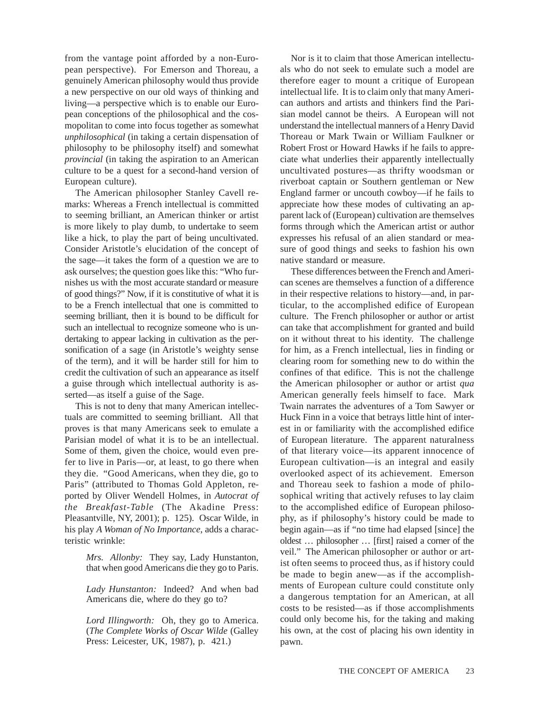from the vantage point afforded by a non-European perspective). For Emerson and Thoreau, a genuinely American philosophy would thus provide a new perspective on our old ways of thinking and living—a perspective which is to enable our European conceptions of the philosophical and the cosmopolitan to come into focus together as somewhat *unphilosophical* (in taking a certain dispensation of philosophy to be philosophy itself) and somewhat *provincial* (in taking the aspiration to an American culture to be a quest for a second-hand version of European culture).

The American philosopher Stanley Cavell remarks: Whereas a French intellectual is committed to seeming brilliant, an American thinker or artist is more likely to play dumb, to undertake to seem like a hick, to play the part of being uncultivated. Consider Aristotle's elucidation of the concept of the sage—it takes the form of a question we are to ask ourselves; the question goes like this: "Who furnishes us with the most accurate standard or measure of good things?" Now, if it is constitutive of what it is to be a French intellectual that one is committed to seeming brilliant, then it is bound to be difficult for such an intellectual to recognize someone who is undertaking to appear lacking in cultivation as the personification of a sage (in Aristotle's weighty sense of the term), and it will be harder still for him to credit the cultivation of such an appearance as itself a guise through which intellectual authority is asserted—as itself a guise of the Sage.

This is not to deny that many American intellectuals are committed to seeming brilliant. All that proves is that many Americans seek to emulate a Parisian model of what it is to be an intellectual. Some of them, given the choice, would even prefer to live in Paris—or, at least, to go there when they die. "Good Americans, when they die, go to Paris" (attributed to Thomas Gold Appleton, reported by Oliver Wendell Holmes, in *Autocrat of the Breakfast-Table* (The Akadine Press: Pleasantville, NY, 2001); p. 125). Oscar Wilde, in his play *A Woman of No Importance*, adds a characteristic wrinkle:

> *Mrs. Allonby:* They say, Lady Hunstanton, that when good Americans die they go to Paris.

> *Lady Hunstanton:* Indeed? And when bad Americans die, where do they go to?

> *Lord Illingworth:* Oh, they go to America. (*The Complete Works of Oscar Wilde* (Galley Press: Leicester, UK, 1987), p. 421.)

Nor is it to claim that those American intellectuals who do not seek to emulate such a model are therefore eager to mount a critique of European intellectual life. It is to claim only that many American authors and artists and thinkers find the Parisian model cannot be theirs. A European will not understand the intellectual manners of a Henry David Thoreau or Mark Twain or William Faulkner or Robert Frost or Howard Hawks if he fails to appreciate what underlies their apparently intellectually uncultivated postures—as thrifty woodsman or riverboat captain or Southern gentleman or New England farmer or uncouth cowboy—if he fails to appreciate how these modes of cultivating an apparent lack of (European) cultivation are themselves forms through which the American artist or author expresses his refusal of an alien standard or measure of good things and seeks to fashion his own native standard or measure.

These differences between the French and American scenes are themselves a function of a difference in their respective relations to history—and, in particular, to the accomplished edifice of European culture. The French philosopher or author or artist can take that accomplishment for granted and build on it without threat to his identity. The challenge for him, as a French intellectual, lies in finding or clearing room for something new to do within the confines of that edifice. This is not the challenge the American philosopher or author or artist *qua* American generally feels himself to face. Mark Twain narrates the adventures of a Tom Sawyer or Huck Finn in a voice that betrays little hint of interest in or familiarity with the accomplished edifice of European literature. The apparent naturalness of that literary voice—its apparent innocence of European cultivation—is an integral and easily overlooked aspect of its achievement. Emerson and Thoreau seek to fashion a mode of philosophical writing that actively refuses to lay claim to the accomplished edifice of European philosophy, as if philosophy's history could be made to begin again—as if "no time had elapsed [since] the oldest … philosopher … [first] raised a corner of the veil." The American philosopher or author or artist often seems to proceed thus, as if history could be made to begin anew—as if the accomplishments of European culture could constitute only a dangerous temptation for an American, at all costs to be resisted—as if those accomplishments could only become his, for the taking and making his own, at the cost of placing his own identity in pawn.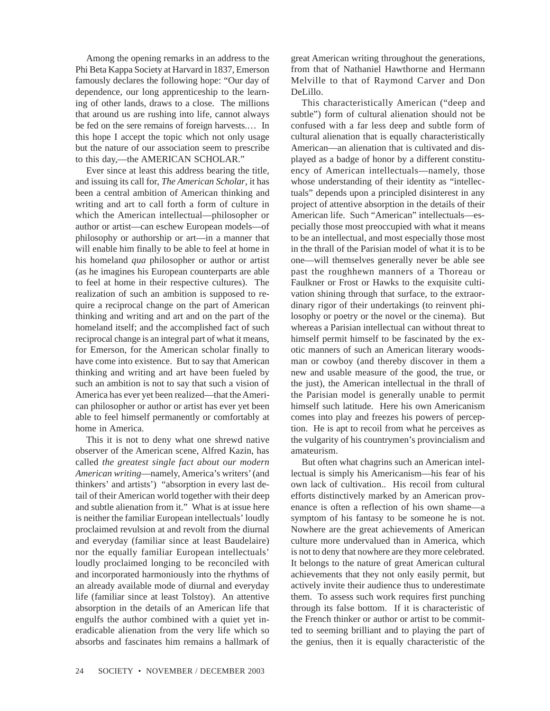Among the opening remarks in an address to the Phi Beta Kappa Society at Harvard in 1837, Emerson famously declares the following hope: "Our day of dependence, our long apprenticeship to the learning of other lands, draws to a close. The millions that around us are rushing into life, cannot always be fed on the sere remains of foreign harvests.… In this hope I accept the topic which not only usage but the nature of our association seem to prescribe to this day,—the AMERICAN SCHOLAR."

Ever since at least this address bearing the title, and issuing its call for, *The American Scholar*, it has been a central ambition of American thinking and writing and art to call forth a form of culture in which the American intellectual—philosopher or author or artist—can eschew European models—of philosophy or authorship or art—in a manner that will enable him finally to be able to feel at home in his homeland *qua* philosopher or author or artist (as he imagines his European counterparts are able to feel at home in their respective cultures). The realization of such an ambition is supposed to require a reciprocal change on the part of American thinking and writing and art and on the part of the homeland itself; and the accomplished fact of such reciprocal change is an integral part of what it means, for Emerson, for the American scholar finally to have come into existence. But to say that American thinking and writing and art have been fueled by such an ambition is not to say that such a vision of America has ever yet been realized—that the American philosopher or author or artist has ever yet been able to feel himself permanently or comfortably at home in America.

This it is not to deny what one shrewd native observer of the American scene, Alfred Kazin, has called *the greatest single fact about our modern American writing*—namely, America's writers' (and thinkers' and artists') "absorption in every last detail of their American world together with their deep and subtle alienation from it." What is at issue here is neither the familiar European intellectuals' loudly proclaimed revulsion at and revolt from the diurnal and everyday (familiar since at least Baudelaire) nor the equally familiar European intellectuals' loudly proclaimed longing to be reconciled with and incorporated harmoniously into the rhythms of an already available mode of diurnal and everyday life (familiar since at least Tolstoy). An attentive absorption in the details of an American life that engulfs the author combined with a quiet yet ineradicable alienation from the very life which so absorbs and fascinates him remains a hallmark of great American writing throughout the generations, from that of Nathaniel Hawthorne and Hermann Melville to that of Raymond Carver and Don DeLillo.

This characteristically American ("deep and subtle") form of cultural alienation should not be confused with a far less deep and subtle form of cultural alienation that is equally characteristically American—an alienation that is cultivated and displayed as a badge of honor by a different constituency of American intellectuals—namely, those whose understanding of their identity as "intellectuals" depends upon a principled disinterest in any project of attentive absorption in the details of their American life. Such "American" intellectuals—especially those most preoccupied with what it means to be an intellectual, and most especially those most in the thrall of the Parisian model of what it is to be one—will themselves generally never be able see past the roughhewn manners of a Thoreau or Faulkner or Frost or Hawks to the exquisite cultivation shining through that surface, to the extraordinary rigor of their undertakings (to reinvent philosophy or poetry or the novel or the cinema). But whereas a Parisian intellectual can without threat to himself permit himself to be fascinated by the exotic manners of such an American literary woodsman or cowboy (and thereby discover in them a new and usable measure of the good, the true, or the just), the American intellectual in the thrall of the Parisian model is generally unable to permit himself such latitude. Here his own Americanism comes into play and freezes his powers of perception. He is apt to recoil from what he perceives as the vulgarity of his countrymen's provincialism and amateurism.

But often what chagrins such an American intellectual is simply his Americanism—his fear of his own lack of cultivation.. His recoil from cultural efforts distinctively marked by an American provenance is often a reflection of his own shame—a symptom of his fantasy to be someone he is not. Nowhere are the great achievements of American culture more undervalued than in America, which is not to deny that nowhere are they more celebrated. It belongs to the nature of great American cultural achievements that they not only easily permit, but actively invite their audience thus to underestimate them. To assess such work requires first punching through its false bottom. If it is characteristic of the French thinker or author or artist to be committed to seeming brilliant and to playing the part of the genius, then it is equally characteristic of the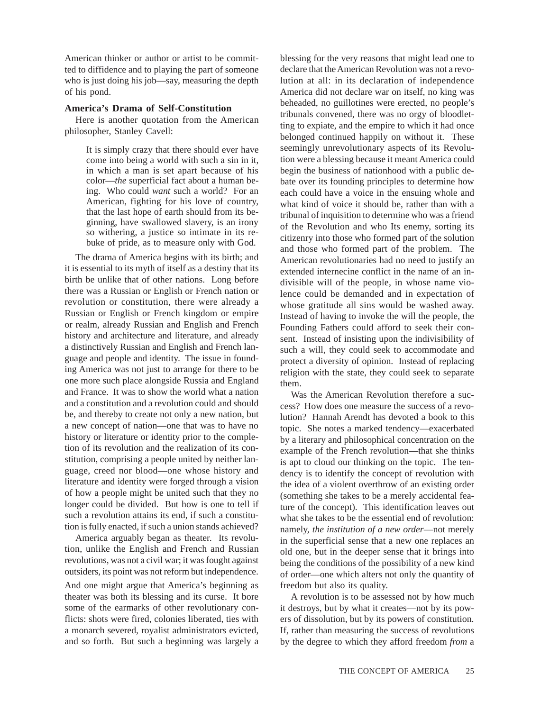American thinker or author or artist to be committed to diffidence and to playing the part of someone who is just doing his job—say, measuring the depth of his pond.

### **America's Drama of Self-Constitution**

Here is another quotation from the American philosopher, Stanley Cavell:

> It is simply crazy that there should ever have come into being a world with such a sin in it, in which a man is set apart because of his color—*the* superficial fact about a human being. Who could *want* such a world? For an American, fighting for his love of country, that the last hope of earth should from its beginning, have swallowed slavery, is an irony so withering, a justice so intimate in its rebuke of pride, as to measure only with God.

The drama of America begins with its birth; and it is essential to its myth of itself as a destiny that its birth be unlike that of other nations. Long before there was a Russian or English or French nation or revolution or constitution, there were already a Russian or English or French kingdom or empire or realm, already Russian and English and French history and architecture and literature, and already a distinctively Russian and English and French language and people and identity. The issue in founding America was not just to arrange for there to be one more such place alongside Russia and England and France. It was to show the world what a nation and a constitution and a revolution could and should be, and thereby to create not only a new nation, but a new concept of nation—one that was to have no history or literature or identity prior to the completion of its revolution and the realization of its constitution, comprising a people united by neither language, creed nor blood—one whose history and literature and identity were forged through a vision of how a people might be united such that they no longer could be divided. But how is one to tell if such a revolution attains its end, if such a constitution is fully enacted, if such a union stands achieved?

America arguably began as theater. Its revolution, unlike the English and French and Russian revolutions, was not a civil war; it was fought against outsiders, its point was not reform but independence.

And one might argue that America's beginning as theater was both its blessing and its curse. It bore some of the earmarks of other revolutionary conflicts: shots were fired, colonies liberated, ties with a monarch severed, royalist administrators evicted, and so forth. But such a beginning was largely a blessing for the very reasons that might lead one to declare that the American Revolution was not a revolution at all: in its declaration of independence America did not declare war on itself, no king was beheaded, no guillotines were erected, no people's tribunals convened, there was no orgy of bloodletting to expiate, and the empire to which it had once belonged continued happily on without it. These seemingly unrevolutionary aspects of its Revolution were a blessing because it meant America could begin the business of nationhood with a public debate over its founding principles to determine how each could have a voice in the ensuing whole and what kind of voice it should be, rather than with a tribunal of inquisition to determine who was a friend of the Revolution and who Its enemy, sorting its citizenry into those who formed part of the solution and those who formed part of the problem. The American revolutionaries had no need to justify an extended internecine conflict in the name of an indivisible will of the people, in whose name violence could be demanded and in expectation of whose gratitude all sins would be washed away. Instead of having to invoke the will the people, the Founding Fathers could afford to seek their consent. Instead of insisting upon the indivisibility of such a will, they could seek to accommodate and protect a diversity of opinion. Instead of replacing religion with the state, they could seek to separate them.

Was the American Revolution therefore a success? How does one measure the success of a revolution? Hannah Arendt has devoted a book to this topic. She notes a marked tendency—exacerbated by a literary and philosophical concentration on the example of the French revolution—that she thinks is apt to cloud our thinking on the topic. The tendency is to identify the concept of revolution with the idea of a violent overthrow of an existing order (something she takes to be a merely accidental feature of the concept). This identification leaves out what she takes to be the essential end of revolution: namely, *the institution of a new order*—not merely in the superficial sense that a new one replaces an old one, but in the deeper sense that it brings into being the conditions of the possibility of a new kind of order—one which alters not only the quantity of freedom but also its quality.

A revolution is to be assessed not by how much it destroys, but by what it creates—not by its powers of dissolution, but by its powers of constitution. If, rather than measuring the success of revolutions by the degree to which they afford freedom *from* a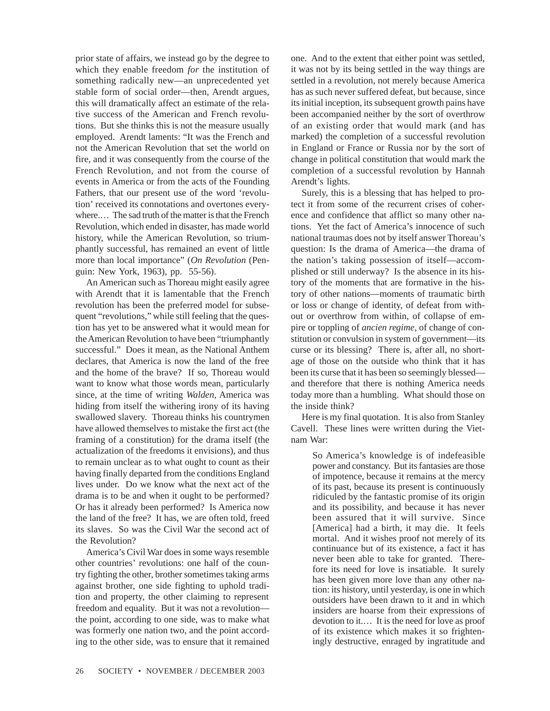prior state of affairs, we instead go by the degree to which they enable freedom *for* the institution of something radically new—an unprecedented yet stable form of social order—then, Arendt argues, this will dramatically affect an estimate of the relative success of the American and French revolutions. But she thinks this is not the measure usually employed. Arendt laments: "It was the French and not the American Revolution that set the world on fire, and it was consequently from the course of the French Revolution, and not from the course of events in America or from the acts of the Founding Fathers, that our present use of the word 'revolution' received its connotations and overtones everywhere.… The sad truth of the matter is that the French Revolution, which ended in disaster, has made world history, while the American Revolution, so triumphantly successful, has remained an event of little more than local importance" (*On Revolution* (Penguin: New York, 1963), pp. 55-56).

An American such as Thoreau might easily agree with Arendt that it is lamentable that the French revolution has been the preferred model for subsequent "revolutions," while still feeling that the question has yet to be answered what it would mean for the American Revolution to have been "triumphantly successful." Does it mean, as the National Anthem declares, that America is now the land of the free and the home of the brave? If so, Thoreau would want to know what those words mean, particularly since, at the time of writing *Walden*, America was hiding from itself the withering irony of its having swallowed slavery. Thoreau thinks his countrymen have allowed themselves to mistake the first act (the framing of a constitution) for the drama itself (the actualization of the freedoms it envisions), and thus to remain unclear as to what ought to count as their having finally departed from the conditions England lives under. Do we know what the next act of the drama is to be and when it ought to be performed? Or has it already been performed? Is America now the land of the free? It has, we are often told, freed its slaves. So was the Civil War the second act of the Revolution?

America's Civil War does in some ways resemble other countries' revolutions: one half of the country fighting the other, brother sometimes taking arms against brother, one side fighting to uphold tradition and property, the other claiming to represent freedom and equality. But it was not a revolution the point, according to one side, was to make what was formerly one nation two, and the point according to the other side, was to ensure that it remained

one. And to the extent that either point was settled, it was not by its being settled in the way things are settled in a revolution, not merely because America has as such never suffered defeat, but because, since its initial inception, its subsequent growth pains have been accompanied neither by the sort of overthrow of an existing order that would mark (and has marked) the completion of a successful revolution in England or France or Russia nor by the sort of change in political constitution that would mark the completion of a successful revolution by Hannah Arendt's lights.

Surely, this is a blessing that has helped to protect it from some of the recurrent crises of coherence and confidence that afflict so many other nations. Yet the fact of America's innocence of such national traumas does not by itself answer Thoreau's question: Is the drama of America—the drama of the nation's taking possession of itself—accomplished or still underway? Is the absence in its history of the moments that are formative in the history of other nations—moments of traumatic birth or loss or change of identity, of defeat from without or overthrow from within, of collapse of empire or toppling of *ancien regime*, of change of constitution or convulsion in system of government—its curse or its blessing? There is, after all, no shortage of those on the outside who think that it has been its curse that it has been so seemingly blessed and therefore that there is nothing America needs today more than a humbling. What should those on the inside think?

Here is my final quotation. It is also from Stanley Cavell. These lines were written during the Vietnam War:

> So America's knowledge is of indefeasible power and constancy. But its fantasies are those of impotence, because it remains at the mercy of its past, because its present is continuously ridiculed by the fantastic promise of its origin and its possibility, and because it has never been assured that it will survive. Since [America] had a birth, it may die. It feels mortal. And it wishes proof not merely of its continuance but of its existence, a fact it has never been able to take for granted. Therefore its need for love is insatiable. It surely has been given more love than any other nation: its history, until yesterday, is one in which outsiders have been drawn to it and in which insiders are hoarse from their expressions of devotion to it.… It is the need for love as proof of its existence which makes it so frighteningly destructive, enraged by ingratitude and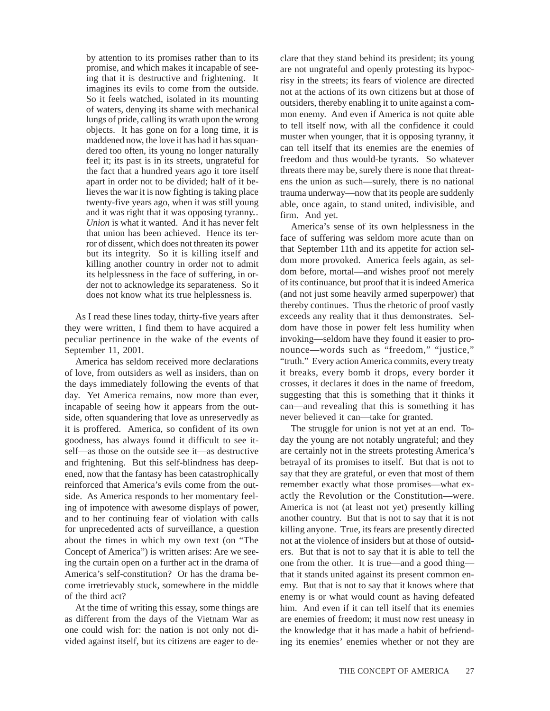by attention to its promises rather than to its promise, and which makes it incapable of seeing that it is destructive and frightening. It imagines its evils to come from the outside. So it feels watched, isolated in its mounting of waters, denying its shame with mechanical lungs of pride, calling its wrath upon the wrong objects. It has gone on for a long time, it is maddened now, the love it has had it has squandered too often, its young no longer naturally feel it; its past is in its streets, ungrateful for the fact that a hundred years ago it tore itself apart in order not to be divided; half of it believes the war it is now fighting is taking place twenty-five years ago, when it was still young and it was right that it was opposing tyranny.… *Union* is what it wanted. And it has never felt that union has been achieved. Hence its terror of dissent, which does not threaten its power but its integrity. So it is killing itself and killing another country in order not to admit its helplessness in the face of suffering, in order not to acknowledge its separateness. So it does not know what its true helplessness is.

As I read these lines today, thirty-five years after they were written, I find them to have acquired a peculiar pertinence in the wake of the events of September 11, 2001.

America has seldom received more declarations of love, from outsiders as well as insiders, than on the days immediately following the events of that day. Yet America remains, now more than ever, incapable of seeing how it appears from the outside, often squandering that love as unreservedly as it is proffered. America, so confident of its own goodness, has always found it difficult to see itself—as those on the outside see it—as destructive and frightening. But this self-blindness has deepened, now that the fantasy has been catastrophically reinforced that America's evils come from the outside. As America responds to her momentary feeling of impotence with awesome displays of power, and to her continuing fear of violation with calls for unprecedented acts of surveillance, a question about the times in which my own text (on "The Concept of America") is written arises: Are we seeing the curtain open on a further act in the drama of America's self-constitution? Or has the drama become irretrievably stuck, somewhere in the middle of the third act?

At the time of writing this essay, some things are as different from the days of the Vietnam War as one could wish for: the nation is not only not divided against itself, but its citizens are eager to declare that they stand behind its president; its young are not ungrateful and openly protesting its hypocrisy in the streets; its fears of violence are directed not at the actions of its own citizens but at those of outsiders, thereby enabling it to unite against a common enemy. And even if America is not quite able to tell itself now, with all the confidence it could muster when younger, that it is opposing tyranny, it can tell itself that its enemies are the enemies of freedom and thus would-be tyrants. So whatever threats there may be, surely there is none that threatens the union as such—surely, there is no national trauma underway—now that its people are suddenly able, once again, to stand united, indivisible, and firm. And yet.

America's sense of its own helplessness in the face of suffering was seldom more acute than on that September 11th and its appetite for action seldom more provoked. America feels again, as seldom before, mortal—and wishes proof not merely of its continuance, but proof that it is indeed America (and not just some heavily armed superpower) that thereby continues. Thus the rhetoric of proof vastly exceeds any reality that it thus demonstrates. Seldom have those in power felt less humility when invoking—seldom have they found it easier to pronounce—words such as "freedom," "justice," "truth." Every action America commits, every treaty it breaks, every bomb it drops, every border it crosses, it declares it does in the name of freedom, suggesting that this is something that it thinks it can—and revealing that this is something it has never believed it can—take for granted.

The struggle for union is not yet at an end. Today the young are not notably ungrateful; and they are certainly not in the streets protesting America's betrayal of its promises to itself. But that is not to say that they are grateful, or even that most of them remember exactly what those promises—what exactly the Revolution or the Constitution—were. America is not (at least not yet) presently killing another country. But that is not to say that it is not killing anyone. True, its fears are presently directed not at the violence of insiders but at those of outsiders. But that is not to say that it is able to tell the one from the other. It is true—and a good thing that it stands united against its present common enemy. But that is not to say that it knows where that enemy is or what would count as having defeated him. And even if it can tell itself that its enemies are enemies of freedom; it must now rest uneasy in the knowledge that it has made a habit of befriending its enemies' enemies whether or not they are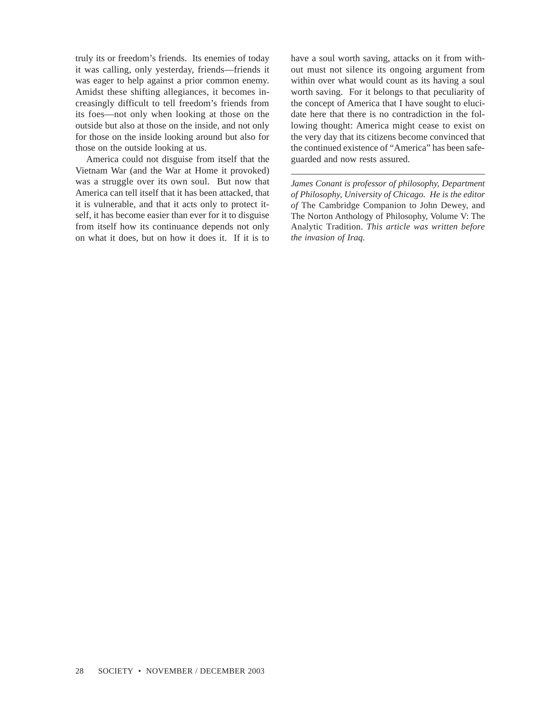truly its or freedom's friends. Its enemies of today it was calling, only yesterday, friends—friends it was eager to help against a prior common enemy. Amidst these shifting allegiances, it becomes increasingly difficult to tell freedom's friends from its foes—not only when looking at those on the outside but also at those on the inside, and not only for those on the inside looking around but also for those on the outside looking at us.

America could not disguise from itself that the Vietnam War (and the War at Home it provoked) was a struggle over its own soul. But now that America can tell itself that it has been attacked, that it is vulnerable, and that it acts only to protect itself, it has become easier than ever for it to disguise from itself how its continuance depends not only on what it does, but on how it does it. If it is to

have a soul worth saving, attacks on it from without must not silence its ongoing argument from within over what would count as its having a soul worth saving. For it belongs to that peculiarity of the concept of America that I have sought to elucidate here that there is no contradiction in the following thought: America might cease to exist on the very day that its citizens become convinced that the continued existence of "America" has been safeguarded and now rests assured.

*James Conant is professor of philosophy, Department of Philosophy, University of Chicago. He is the editor of* The Cambridge Companion to John Dewey, and The Norton Anthology of Philosophy, Volume V: The Analytic Tradition. *This article was written before the invasion of Iraq.*